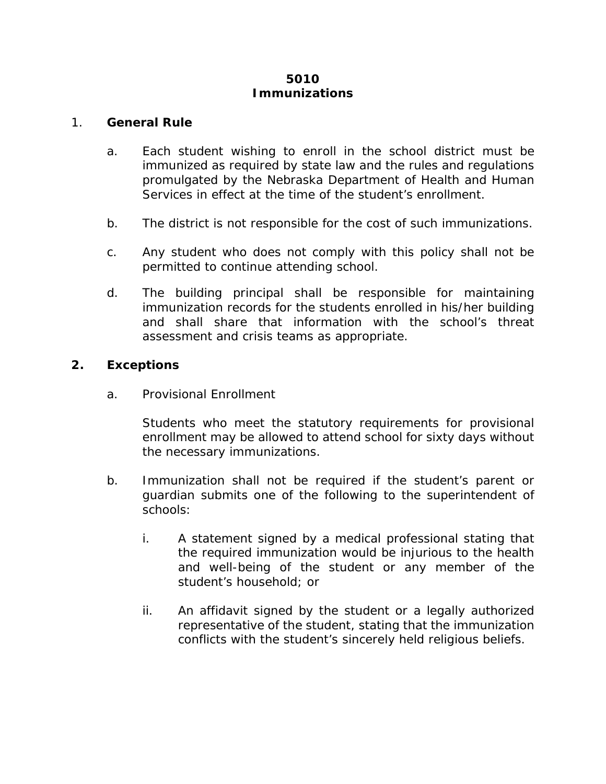## **5010 Immunizations**

## 1. **General Rule**

- a. Each student wishing to enroll in the school district must be immunized as required by state law and the rules and regulations promulgated by the Nebraska Department of Health and Human Services in effect at the time of the student's enrollment.
- b. The district is not responsible for the cost of such immunizations.
- c. Any student who does not comply with this policy shall not be permitted to continue attending school.
- d. The building principal shall be responsible for maintaining immunization records for the students enrolled in his/her building and shall share that information with the school's threat assessment and crisis teams as appropriate.

## **2. Exceptions**

a. Provisional Enrollment

Students who meet the statutory requirements for provisional enrollment may be allowed to attend school for sixty days without the necessary immunizations.

- b. Immunization shall not be required if the student's parent or guardian submits one of the following to the superintendent of schools:
	- i. A statement signed by a medical professional stating that the required immunization would be injurious to the health and well-being of the student or any member of the student's household; or
	- ii. An affidavit signed by the student or a legally authorized representative of the student, stating that the immunization conflicts with the student's sincerely held religious beliefs.